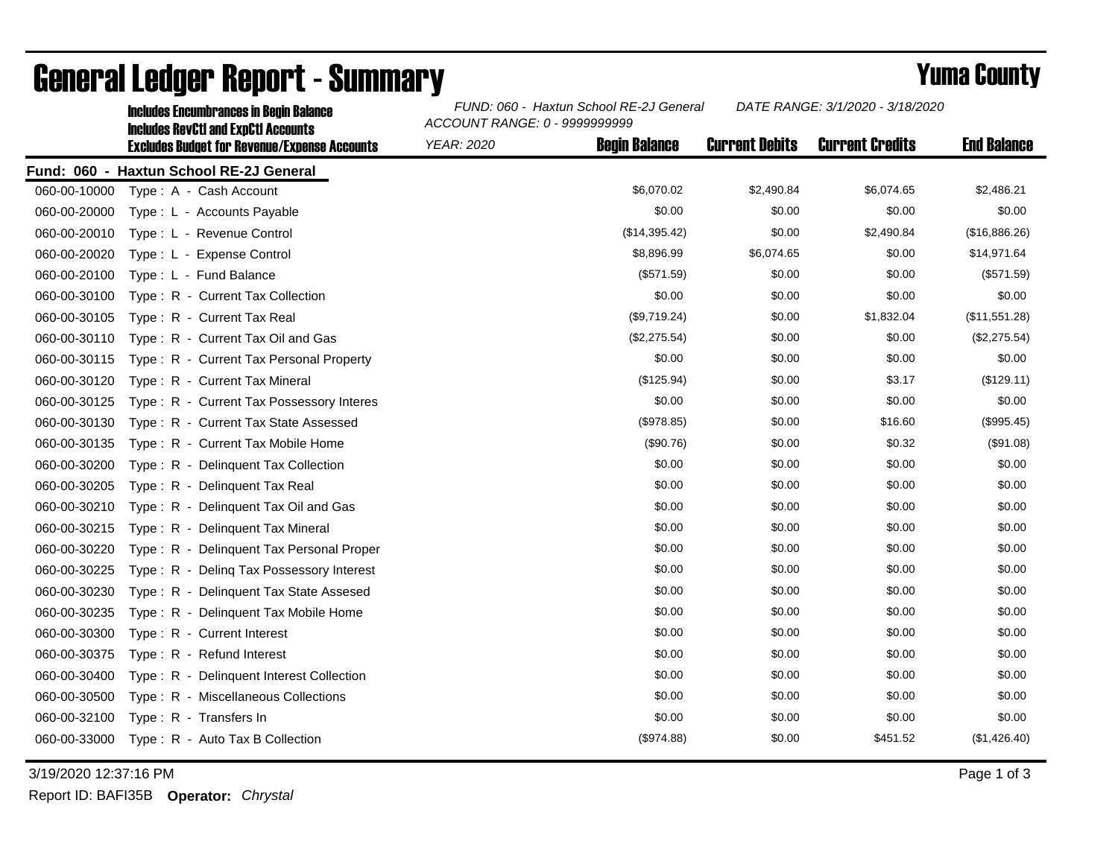|              | <b>Includes Encumbrances in Begin Balance</b><br><b>Includes RevCtI and ExpCtI Accounts</b><br><b>Excludes Budget for Revenue/Expense Accounts</b> | FUND: 060 - Haxtun School RE-2J General<br>ACCOUNT RANGE: 0 - 9999999999 |                      |                       | DATE RANGE: 3/1/2020 - 3/18/2020 |                    |
|--------------|----------------------------------------------------------------------------------------------------------------------------------------------------|--------------------------------------------------------------------------|----------------------|-----------------------|----------------------------------|--------------------|
|              |                                                                                                                                                    | <b>YEAR: 2020</b>                                                        | <b>Begin Balance</b> | <b>Current Debits</b> | <b>Current Credits</b>           | <b>End Balance</b> |
|              | Fund: 060 - Haxtun School RE-2J General                                                                                                            |                                                                          |                      |                       |                                  |                    |
| 060-00-10000 | Type: A - Cash Account                                                                                                                             |                                                                          | \$6,070.02           | \$2,490.84            | \$6,074.65                       | \$2,486.21         |
| 060-00-20000 | Type: L - Accounts Payable                                                                                                                         |                                                                          | \$0.00               | \$0.00                | \$0.00                           | \$0.00             |
| 060-00-20010 | Type: L - Revenue Control                                                                                                                          |                                                                          | (\$14,395.42)        | \$0.00                | \$2,490.84                       | (\$16,886.26)      |
| 060-00-20020 | Type: L - Expense Control                                                                                                                          |                                                                          | \$8,896.99           | \$6,074.65            | \$0.00                           | \$14,971.64        |
| 060-00-20100 | Type: L - Fund Balance                                                                                                                             |                                                                          | (\$571.59)           | \$0.00                | \$0.00                           | (\$571.59)         |
| 060-00-30100 | Type: R - Current Tax Collection                                                                                                                   |                                                                          | \$0.00               | \$0.00                | \$0.00                           | \$0.00             |
| 060-00-30105 | Type: R - Current Tax Real                                                                                                                         |                                                                          | (\$9,719.24)         | \$0.00                | \$1,832.04                       | (\$11,551.28)      |
| 060-00-30110 | Type: R - Current Tax Oil and Gas                                                                                                                  |                                                                          | (\$2,275.54)         | \$0.00                | \$0.00                           | (\$2,275.54)       |
| 060-00-30115 | Type: R - Current Tax Personal Property                                                                                                            |                                                                          | \$0.00               | \$0.00                | \$0.00                           | \$0.00             |
| 060-00-30120 | Type: R - Current Tax Mineral                                                                                                                      |                                                                          | (\$125.94)           | \$0.00                | \$3.17                           | (\$129.11)         |
| 060-00-30125 | Type: R - Current Tax Possessory Interes                                                                                                           |                                                                          | \$0.00               | \$0.00                | \$0.00                           | \$0.00             |
| 060-00-30130 | Type: R - Current Tax State Assessed                                                                                                               |                                                                          | (\$978.85)           | \$0.00                | \$16.60                          | (\$995.45)         |
| 060-00-30135 | Type: R - Current Tax Mobile Home                                                                                                                  |                                                                          | (\$90.76)            | \$0.00                | \$0.32                           | (\$91.08)          |
| 060-00-30200 | Type: R - Delinquent Tax Collection                                                                                                                |                                                                          | \$0.00               | \$0.00                | \$0.00                           | \$0.00             |
| 060-00-30205 | Type: R - Delinquent Tax Real                                                                                                                      |                                                                          | \$0.00               | \$0.00                | \$0.00                           | \$0.00             |
| 060-00-30210 | Type: R - Delinquent Tax Oil and Gas                                                                                                               |                                                                          | \$0.00               | \$0.00                | \$0.00                           | \$0.00             |
| 060-00-30215 | Type: R - Delinquent Tax Mineral                                                                                                                   |                                                                          | \$0.00               | \$0.00                | \$0.00                           | \$0.00             |
| 060-00-30220 | Type: R - Delinguent Tax Personal Proper                                                                                                           |                                                                          | \$0.00               | \$0.00                | \$0.00                           | \$0.00             |
| 060-00-30225 | Type: R - Deling Tax Possessory Interest                                                                                                           |                                                                          | \$0.00               | \$0.00                | \$0.00                           | \$0.00             |
| 060-00-30230 | Type: R - Delinguent Tax State Assesed                                                                                                             |                                                                          | \$0.00               | \$0.00                | \$0.00                           | \$0.00             |
| 060-00-30235 | Type: R - Delinquent Tax Mobile Home                                                                                                               |                                                                          | \$0.00               | \$0.00                | \$0.00                           | \$0.00             |
| 060-00-30300 | Type: R - Current Interest                                                                                                                         |                                                                          | \$0.00               | \$0.00                | \$0.00                           | \$0.00             |
| 060-00-30375 | Type: R - Refund Interest                                                                                                                          |                                                                          | \$0.00               | \$0.00                | \$0.00                           | \$0.00             |
| 060-00-30400 | Type: R - Delinquent Interest Collection                                                                                                           |                                                                          | \$0.00               | \$0.00                | \$0.00                           | \$0.00             |
| 060-00-30500 | Type: R - Miscellaneous Collections                                                                                                                |                                                                          | \$0.00               | \$0.00                | \$0.00                           | \$0.00             |
| 060-00-32100 | Type: R - Transfers In                                                                                                                             |                                                                          | \$0.00               | \$0.00                | \$0.00                           | \$0.00             |
| 060-00-33000 | Type: R - Auto Tax B Collection                                                                                                                    |                                                                          | (\$974.88)           | \$0.00                | \$451.52                         | (\$1,426.40)       |

## General Ledger Report - Summary **Example 2018** Yuma County

3/19/2020 12:37:16 PM Page 1 of 3

Report ID: BAFI35B **Operator:** *Chrystal*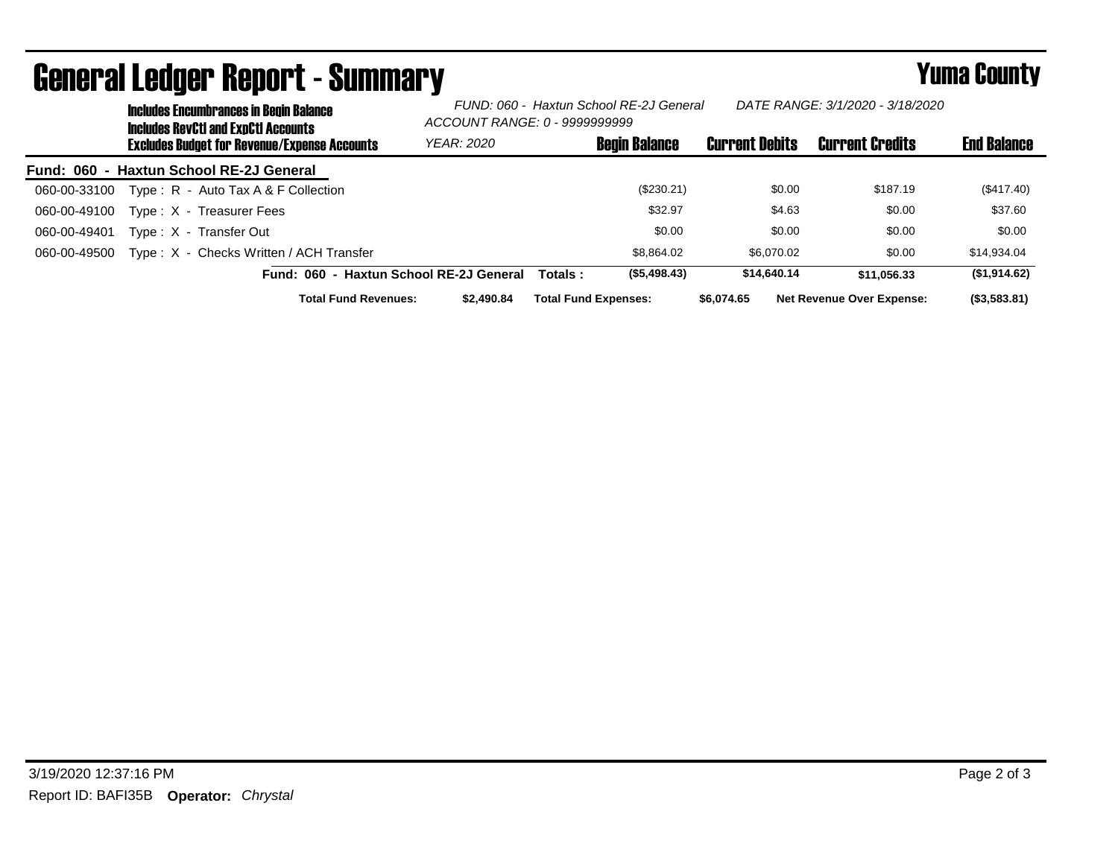| <b>Includes Encumbrances in Begin Balance</b><br><b>Includes RevCtI and ExpCtI Accounts</b> | DATE RANGE: 3/1/2020 - 3/18/2020<br>FUND: 060 - Haxtun School RE-2J General<br>ACCOUNT RANGE: 0 - 99999999999 |                             |                       |                                  |                    |
|---------------------------------------------------------------------------------------------|---------------------------------------------------------------------------------------------------------------|-----------------------------|-----------------------|----------------------------------|--------------------|
| <b>Excludes Budget for Revenue/Expense Accounts</b>                                         | <b>YEAR: 2020</b>                                                                                             | <b>Begin Balance</b>        | <b>Current Debits</b> | <b>Current Credits</b>           | <b>End Balance</b> |
| Fund: 060 - Haxtun School RE-2J General                                                     |                                                                                                               |                             |                       |                                  |                    |
| Type: $R -$ Auto Tax A & F Collection<br>060-00-33100                                       |                                                                                                               | (\$230.21)                  | \$0.00                | \$187.19                         | $(\$417.40)$       |
| 060-00-49100<br>Type: X - Treasurer Fees                                                    |                                                                                                               | \$32.97                     | \$4.63                | \$0.00                           | \$37.60            |
| 060-00-49401<br>Type: X - Transfer Out                                                      |                                                                                                               | \$0.00                      | \$0.00                | \$0.00                           | \$0.00             |
| Type: X - Checks Written / ACH Transfer<br>060-00-49500                                     |                                                                                                               | \$8,864.02                  | \$6.070.02            | \$0.00                           | \$14,934.04        |
| Fund: 060 - Haxtun School RE-2J General                                                     |                                                                                                               | (\$5,498.43)<br>Totals :    | \$14,640.14           | \$11.056.33                      | (\$1,914.62)       |
| <b>Total Fund Revenues:</b>                                                                 | \$2,490.84                                                                                                    | <b>Total Fund Expenses:</b> | \$6,074,65            | <b>Net Revenue Over Expense:</b> | (\$3,583.81)       |

## General Ledger Report - Summary **Example 2018** Yuma County